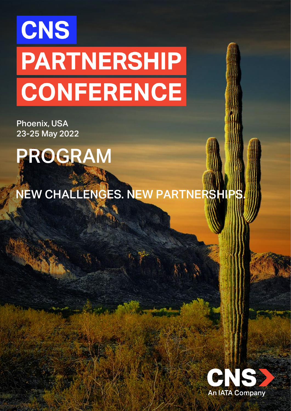# CNS **PARTNERSHIP CONFERENCE**

Phoenix, USA 23-25 May 2022

PROGRAM

NEW CHALLENGES. NEW PARTNERSHI

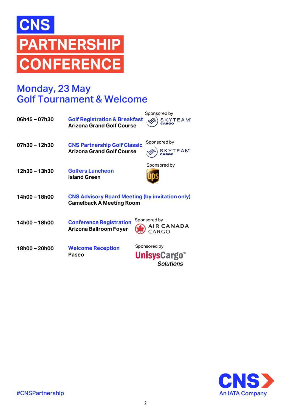# **CNS PARTNERSHIP CONFERENCE**

# Monday, 23 May Golf Tournament & Welcome

| 06h45 - 07h30 | <b>Golf Registration &amp; Breakfast</b><br><b>Arizona Grand Golf Course</b>              | Sponsored by<br><b>SKYTEAM</b> <sup>*</sup>     |
|---------------|-------------------------------------------------------------------------------------------|-------------------------------------------------|
| 07h30 - 12h30 | <b>CNS Partnership Golf Classic</b><br><b>Arizona Grand Golf Course</b>                   | Sponsored by<br><b>SKYTEAM</b> <sup>*</sup>     |
| 12h30 - 13h30 | <b>Golfers Luncheon</b><br><b>Island Green</b>                                            | Sponsored by                                    |
| 14h00 - 18h00 | <b>CNS Advisory Board Meeting (by invitation only)</b><br><b>Camelback A Meeting Room</b> |                                                 |
| 14h00 - 18h00 | <b>Conference Registration</b><br><b>Arizona Ballroom Foyer</b>                           | Sponsored by<br><b>AIR CANADA</b><br>CARGO      |
| 18h00 - 20h00 | <b>Welcome Reception</b><br>Paseo                                                         | Sponsored by<br><b>UnisysCargo</b><br>Solutions |

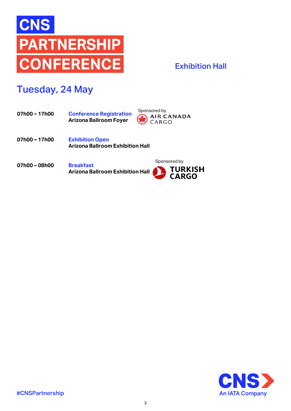

#### Exhibition Hall

# Tuesday, 24 May

- **Conference Registration Arizona Ballroom Foyer 07h00 – 17h00**
- Sponsored by<br>AIR CANADA<br>CARGO
- **Exhibition Open Arizona Ballroom Exhibition Hall 07h00 – 17h00**
- **Breakfast Arizona Ballroom Exhibition Hall 07h00 – 08h00**



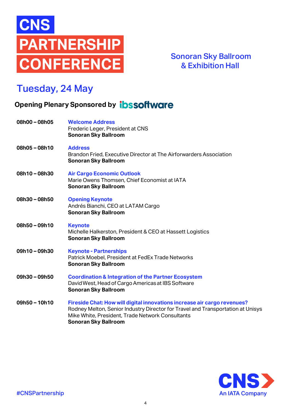

Sonoran Sky Ballroom & Exhibition Hall

# Tuesday, 24 May

#### **Opening Plenary Sponsored by <b>ibssoftware**

| 08h00 - 08h05   | <b>Welcome Address</b><br>Frederic Leger, President at CNS<br><b>Sonoran Sky Ballroom</b>                                                                                                                                                      |
|-----------------|------------------------------------------------------------------------------------------------------------------------------------------------------------------------------------------------------------------------------------------------|
| 08h05-08h10     | <b>Address</b><br>Brandon Fried, Executive Director at The Airforwarders Association<br><b>Sonoran Sky Ballroom</b>                                                                                                                            |
| 08h10-08h30     | <b>Air Cargo Economic Outlook</b><br>Marie Owens Thomsen, Chief Economist at IATA<br><b>Sonoran Sky Ballroom</b>                                                                                                                               |
| 08h30-08h50     | <b>Opening Keynote</b><br>Andrés Bianchi, CEO at LATAM Cargo<br><b>Sonoran Sky Ballroom</b>                                                                                                                                                    |
| 08h50-09h10     | <b>Keynote</b><br>Michelle Halkerston, President & CEO at Hassett Logistics<br><b>Sonoran Sky Ballroom</b>                                                                                                                                     |
| 09h10-09h30     | <b>Keynote - Partnerships</b><br>Patrick Moebel, President at FedEx Trade Networks<br><b>Sonoran Sky Ballroom</b>                                                                                                                              |
| 09h30-09h50     | <b>Coordination &amp; Integration of the Partner Ecosystem</b><br>David West, Head of Cargo Americas at IBS Software<br><b>Sonoran Sky Ballroom</b>                                                                                            |
| $09h50 - 10h10$ | Fireside Chat: How will digital innovations increase air cargo revenues?<br>Rodney Melton, Senior Industry Director for Travel and Transportation at Unisys<br>Mike White, President, Trade Network Consultants<br><b>Sonoran Sky Ballroom</b> |

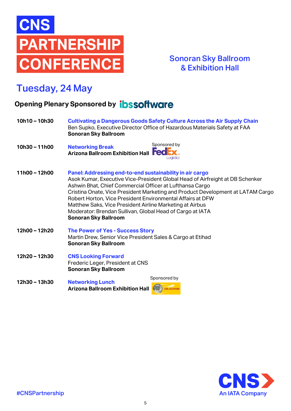

#### Sonoran Sky Ballroom & Exhibition Hall

# Tuesday, 24 May

#### **Opening Plenary Sponsored by <b>ibssoftware**

**10h10 – 10h30 Cultivating a Dangerous Goods Safety Culture Across the Air Supply Chain** Ben Supko, Executive Director Office of Hazardous Materials Safety at FAA **Sonoran Sky Ballroom** Sponsored by **10h30 – 11h00 Networking Break Arizona Ballroom Exhibition Hall FedEx 11h00 – 12h00 Panel: Addressing end-to-end sustainability in air cargo** Asok Kumar, Executive Vice-President Global Head of Airfreight at DB Schenker Ashwin Bhat, Chief Commercial Officer at Lufthansa Cargo Cristina Onate, Vice President Marketing and Product Development at LATAM Cargo Robert Horton, Vice President Environmental Affairs at DFW Matthew Saks, Vice President Airline Marketing at Airbus Moderator: Brendan Sullivan, Global Head of Cargo at IATA **Sonoran Sky Ballroom 12h00 – 12h20 The Power of Yes - Success Story** Martin Drew, Senior Vice President Sales & Cargo at Etihad **Sonoran Sky Ballroom 12h20 – 12h30 CNS Looking Forward** Frederic Leger, President at CNS **Sonoran Sky Ballroom** Sponsored by**12h30 – 13h30 Networking Lunch Arizona Ballroom Exhibition Hall** DHL AVIATION

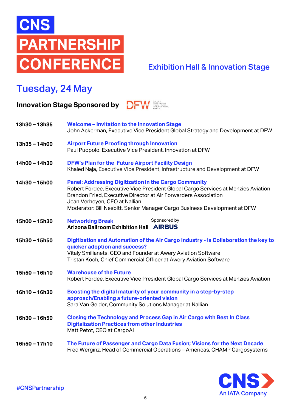

#### Exhibition Hall & Innovation Stage

# Tuesday, 24 May

**Innovation Stage Sponsored by DFW** 

| 13h30 - 13h35   | Welcome - Invitation to the Innovation Stage<br>John Ackerman, Executive Vice President Global Strategy and Development at DFW                                                                                                                                                                                                     |
|-----------------|------------------------------------------------------------------------------------------------------------------------------------------------------------------------------------------------------------------------------------------------------------------------------------------------------------------------------------|
| 13h35 - 14h00   | <b>Airport Future Proofing through Innovation</b><br>Paul Puopolo, Executive Vice President, Innovation at DFW                                                                                                                                                                                                                     |
| 14h00 - 14h30   | <b>DFW's Plan for the Future Airport Facility Design</b><br>Khaled Naja, Executive Vice President, Infrastructure and Development at DFW                                                                                                                                                                                           |
| 14h30 - 15h00   | <b>Panel: Addressing Digitization in the Cargo Community</b><br>Robert Fordee, Executive Vice President Global Cargo Services at Menzies Aviation<br>Brandon Fried, Executive Director at Air Forwarders Association<br>Jean Verheyen, CEO at Nallian<br>Moderator: Bill Nesbitt, Senior Manager Cargo Business Development at DFW |
| 15h00 - 15h30   | Sponsored by<br><b>Networking Break</b><br><b>Arizona Ballroom Exhibition Hall AIRBUS</b>                                                                                                                                                                                                                                          |
| 15h30 - 15h50   | Digitization and Automation of the Air Cargo Industry - is Collaboration the key to<br>quicker adoption and success?<br>Vitaly Smilianets, CEO and Founder at Awery Aviation Software<br>Tristan Koch, Chief Commercial Officer at Awery Aviation Software                                                                         |
| 15h50 - 16h10   | <b>Warehouse of the Future</b><br>Robert Fordee, Executive Vice President Global Cargo Services at Menzies Aviation                                                                                                                                                                                                                |
| 16h10-16h30     | Boosting the digital maturity of your community in a step-by-step<br>approach/Enabling a future-oriented vision<br>Sara Van Gelder, Community Solutions Manager at Nallian                                                                                                                                                         |
| 16h30-16h50     | Closing the Technology and Process Gap in Air Cargo with Best In Class<br><b>Digitalization Practices from other Industries</b><br>Matt Petot, CEO at CargoAl                                                                                                                                                                      |
| $16h50 - 17h10$ | The Future of Passenger and Cargo Data Fusion; Visions for the Next Decade<br>Fred Werginz, Head of Commercial Operations - Americas, CHAMP Cargosystems                                                                                                                                                                           |

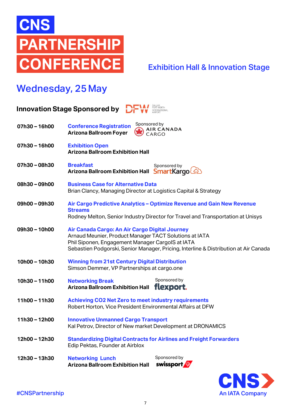

#### Exhibition Hall & Innovation Stage

# Wednesday, 25May

| <b>Innovation Stage Sponsored by</b> |                                                                                                                                                              |                                                                                                                                                           |
|--------------------------------------|--------------------------------------------------------------------------------------------------------------------------------------------------------------|-----------------------------------------------------------------------------------------------------------------------------------------------------------|
| 07h30 - 16h00                        | Sponsored by<br><b>Conference Registration</b><br><b>Arizona Ballroom Foyer</b>                                                                              | <b>AIR CANADA</b><br>CARGO                                                                                                                                |
| 07h30 - 16h00                        | <b>Exhibition Open</b><br><b>Arizona Ballroom Exhibition Hall</b>                                                                                            |                                                                                                                                                           |
| 07h30-08h30                          | <b>Breakfast</b><br>Arizona Ballroom Exhibition Hall                                                                                                         | Sponsored by<br>SmartKargo                                                                                                                                |
| 08h30 - 09h00                        | <b>Business Case for Alternative Data</b><br>Brian Clancy, Managing Director at Logistics Capital & Strategy                                                 |                                                                                                                                                           |
| 09h00 - 09h30                        | <b>Streams</b>                                                                                                                                               | Air Cargo Predictive Analytics - Optimize Revenue and Gain New Revenue<br>Rodney Melton, Senior Industry Director for Travel and Transportation at Unisys |
| 09h30 - 10h00                        | Air Canada Cargo: An Air Cargo Digital Journey<br>Arnaud Meunier, Product Manager TACT Solutions at IATA<br>Phil Siponen, Engagement Manager CargolS at IATA | Sebastien Podgorski, Senior Manager, Pricing, Interline & Distribution at Air Canada                                                                      |
| 10h00 - 10h30                        | <b>Winning from 21st Century Digital Distribution</b><br>Simson Demmer, VP Partnerships at cargo.one                                                         |                                                                                                                                                           |
| 10h30 - 11h00                        | <b>Networking Break</b><br>Arizona Ballroom Exhibition Hall flexport.                                                                                        | Sponsored by                                                                                                                                              |
| 11h00 - 11h30                        | <b>Achieving CO2 Net Zero to meet industry requirements</b><br>Robert Horton, Vice President Environmental Affairs at DFW                                    |                                                                                                                                                           |
| 11h30 - 12h00                        | <b>Innovative Unmanned Cargo Transport</b><br>Kal Petrov, Director of New market Development at DRONAMICS                                                    |                                                                                                                                                           |
| 12h00 - 12h30                        | <b>Standardizing Digital Contracts for Airlines and Freight Forwarders</b><br>Edip Pektas, Founder at Airblox                                                |                                                                                                                                                           |
| 12h30 - 13h30                        | <b>Networking Lunch</b><br><b>Arizona Ballroom Exhibition Hall</b>                                                                                           | Sponsored by<br>swissport                                                                                                                                 |

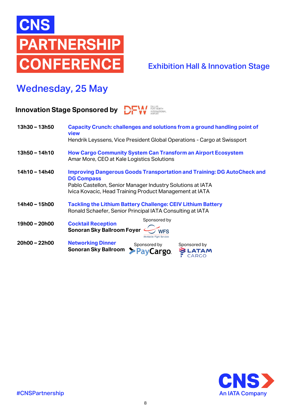

#### Exhibition Hall & Innovation Stage

# Wednesday, 25 May

#### **Innovation Stage Sponsored by DFW**

| 13h30 - 13h50   | Capacity Crunch: challenges and solutions from a ground handling point of<br>view<br>Hendrik Leyssens, Vice President Global Operations - Cargo at Swissport                                                                 |
|-----------------|------------------------------------------------------------------------------------------------------------------------------------------------------------------------------------------------------------------------------|
| $13h50 - 14h10$ | <b>How Cargo Community System Can Transform an Airport Ecosystem</b><br>Amar More, CEO at Kale Logistics Solutions                                                                                                           |
| 14h10 - 14h40   | <b>Improving Dangerous Goods Transportation and Training: DG AutoCheck and</b><br><b>DG Compass</b><br>Pablo Castellon, Senior Manager Industry Solutions at IATA<br>Ivica Kovacic, Head Training Product Management at IATA |
| 14h40 - 15h00   | <b>Tackling the Lithium Battery Challenge: CEIV Lithium Battery</b><br>Ronald Schaefer, Senior Principal IATA Consulting at IATA                                                                                             |
| 19h00 - 20h00   | Sponsored by<br><b>Cocktail Reception</b><br><b>Sonoran Sky Ballroom Foyer</b><br><b>NFS</b><br><b>Worldwide Flight Services</b>                                                                                             |
| 20h00 - 22h00   | <b>Networking Dinner</b><br>Sponsored by<br>Sponsored by<br><b>Sonoran Sky Ballroom</b><br><b>ATAM</b><br>PayCargo.<br>CARGO                                                                                                 |

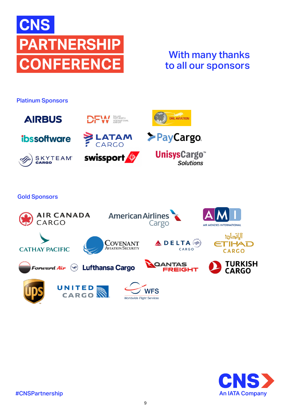

## With many thanks to all our sponsors